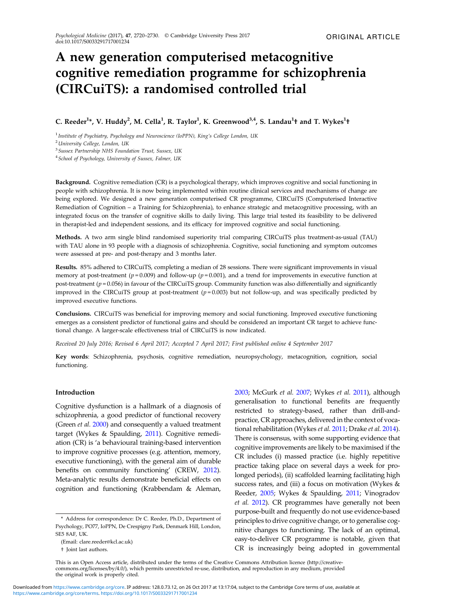# A new generation computerised metacognitive cognitive remediation programme for schizophrenia (CIRCuiTS): a randomised controlled trial

# C. Reeder<sup>1</sup>\*, V. Huddy<sup>2</sup>, M. Cella<sup>1</sup>, R. Taylor<sup>1</sup>, K. Greenwood<sup>3,4</sup>, S. Landau<sup>1</sup>† and T. Wykes<sup>1</sup>†

<sup>1</sup> Institute of Psychiatry, Psychology and Neuroscience (IoPPN), King's College London, UK

<sup>2</sup> University College, London, UK

<sup>3</sup>Sussex Partnership NHS Foundation Trust, Sussex, UK

<sup>4</sup> School of Psychology, University of Sussex, Falmer, UK

Background. Cognitive remediation (CR) is a psychological therapy, which improves cognitive and social functioning in people with schizophrenia. It is now being implemented within routine clinical services and mechanisms of change are being explored. We designed a new generation computerised CR programme, CIRCuiTS (Computerised Interactive Remediation of Cognition – a Training for Schizophrenia), to enhance strategic and metacognitive processing, with an integrated focus on the transfer of cognitive skills to daily living. This large trial tested its feasibility to be delivered in therapist-led and independent sessions, and its efficacy for improved cognitive and social functioning.

Methods. A two arm single blind randomised superiority trial comparing CIRCuiTS plus treatment-as-usual (TAU) with TAU alone in 93 people with a diagnosis of schizophrenia. Cognitive, social functioning and symptom outcomes were assessed at pre- and post-therapy and 3 months later.

Results. 85% adhered to CIRCuiTS, completing a median of 28 sessions. There were significant improvements in visual memory at post-treatment ( $p = 0.009$ ) and follow-up ( $p = 0.001$ ), and a trend for improvements in executive function at post-treatment ( $p = 0.056$ ) in favour of the CIRCuiTS group. Community function was also differentially and significantly improved in the CIRCuiTS group at post-treatment  $(p=0.003)$  but not follow-up, and was specifically predicted by improved executive functions.

Conclusions. CIRCuiTS was beneficial for improving memory and social functioning. Improved executive functioning emerges as a consistent predictor of functional gains and should be considered an important CR target to achieve functional change. A larger-scale effectiveness trial of CIRCuiTS is now indicated.

Received 20 July 2016; Revised 6 April 2017; Accepted 7 April 2017; First published online 4 September 2017

Key words: Schizophrenia, psychosis, cognitive remediation, neuropsychology, metacognition, cognition, social functioning.

#### Introduction

Cognitive dysfunction is a hallmark of a diagnosis of schizophrenia, a good predictor of functional recovery (Green *et al.* [2000\)](#page-9-0) and consequently a valued treatment target (Wykes & Spaulding, [2011\)](#page-10-0). Cognitive remediation (CR) is 'a behavioural training-based intervention to improve cognitive processes (e.g. attention, memory, executive functioning), with the general aim of durable benefits on community functioning' (CREW, [2012\)](#page-9-0). Meta-analytic results demonstrate beneficial effects on cognition and functioning (Krabbendam & Aleman, [2003](#page-9-0); McGurk et al. [2007;](#page-9-0) Wykes et al. [2011](#page-10-0)), although generalisation to functional benefits are frequently restricted to strategy-based, rather than drill-andpractice, CR approaches, delivered in the context of voca-tional rehabilitation (Wykes et al. [2011;](#page-10-0) Drake et al. [2014\)](#page-9-0). There is consensus, with some supporting evidence that cognitive improvements are likely to be maximised if the CR includes (i) massed practice (i.e. highly repetitive practice taking place on several days a week for prolonged periods), (ii) scaffolded learning facilitating high success rates, and (iii) a focus on motivation (Wykes & Reeder, [2005;](#page-10-0) Wykes & Spaulding, [2011;](#page-10-0) Vinogradov et al. [2012\)](#page-10-0). CR programmes have generally not been purpose-built and frequently do not use evidence-based principles to drive cognitive change, or to generalise cognitive changes to functioning. The lack of an optimal, easy-to-deliver CR programme is notable, given that CR is increasingly being adopted in governmental

<sup>\*</sup> Address for correspondence: Dr C. Reeder, Ph.D., Department of Psychology, PO77, IoPPN, De Crespigny Park, Denmark Hill, London, SE5 8AF, UK.

<sup>(</sup>Email: [clare.reeder@kcl.ac.uk](mailto:clare.reeder@kcl.ac.uk))

<sup>†</sup> Joint last authors.

This is an Open Access article, distributed under the terms of the Creative Commons Attribution licence (http://creativecommons.org/licenses/by/4.0/), which permits unrestricted re-use, distribution, and reproduction in any medium, provided the original work is properly cited.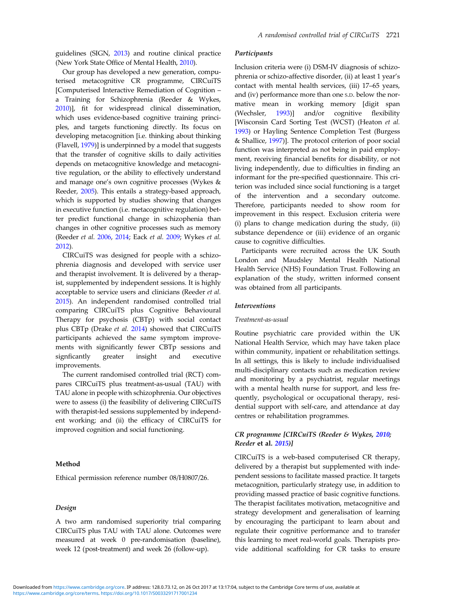guidelines (SIGN, [2013\)](#page-9-0) and routine clinical practice (New York State Office of Mental Health, [2010\)](#page-10-0).

Our group has developed a new generation, computerised metacognitive CR programme, CIRCuiTS [Computerised Interactive Remediation of Cognition – a Training for Schizophrenia (Reeder & Wykes, [2010](#page-9-0))], fit for widespread clinical dissemination, which uses evidence-based cognitive training principles, and targets functioning directly. Its focus on developing metacognition [i.e. thinking about thinking (Flavell, [1979](#page-9-0))] is underpinned by a model that suggests that the transfer of cognitive skills to daily activities depends on metacognitive knowledge and metacognitive regulation, or the ability to effectively understand and manage one's own cognitive processes (Wykes & Reeder, [2005](#page-10-0)). This entails a strategy-based approach, which is supported by studies showing that changes in executive function (i.e. metacognitive regulation) better predict functional change in schizophenia than changes in other cognitive processes such as memory (Reeder et al. [2006](#page-9-0), [2014](#page-9-0); Eack et al. [2009](#page-9-0); Wykes et al. [2012](#page-10-0)).

CIRCuiTS was designed for people with a schizophrenia diagnosis and developed with service user and therapist involvement. It is delivered by a therapist, supplemented by independent sessions. It is highly acceptable to service users and clinicians (Reeder et al. [2015\)](#page-9-0). An independent randomised controlled trial comparing CIRCuiTS plus Cognitive Behavioural Therapy for psychosis (CBTp) with social contact plus CBTp (Drake et al. [2014](#page-9-0)) showed that CIRCuiTS participants achieved the same symptom improvements with significantly fewer CBTp sessions and signficantly greater insight and executive improvements.

The current randomised controlled trial (RCT) compares CIRCuiTS plus treatment-as-usual (TAU) with TAU alone in people with schizophrenia. Our objectives were to assess (i) the feasibility of delivering CIRCuiTS with therapist-led sessions supplemented by independent working; and (ii) the efficacy of CIRCuiTS for improved cognition and social functioning.

## Method

Ethical permission reference number 08/H0807/26.

#### Design

A two arm randomised superiority trial comparing CIRCuiTS plus TAU with TAU alone. Outcomes were measured at week 0 pre-randomisation (baseline), week 12 (post-treatment) and week 26 (follow-up).

#### **Participants**

Inclusion criteria were (i) DSM-IV diagnosis of schizophrenia or schizo-affective disorder, (ii) at least 1 year's contact with mental health services, (iii) 17–65 years, and (iv) performance more than one S.D. below the normative mean in working memory [digit span (Wechsler, [1993\)](#page-10-0)] and/or cognitive flexibility [Wisconsin Card Sorting Test (WCST) (Heaton et al. [1993\)](#page-9-0) or Hayling Sentence Completion Test (Burgess & Shallice, [1997](#page-9-0))]. The protocol criterion of poor social function was interpreted as not being in paid employment, receiving financial benefits for disability, or not living independently, due to difficulties in finding an informant for the pre-specified questionnaire. This criterion was included since social functioning is a target of the intervention and a secondary outcome. Therefore, participants needed to show room for improvement in this respect. Exclusion criteria were (i) plans to change medication during the study, (ii) substance dependence or (iii) evidence of an organic cause to cognitive difficulties.

Participants were recruited across the UK South London and Maudsley Mental Health National Health Service (NHS) Foundation Trust. Following an explanation of the study, written informed consent was obtained from all participants.

#### **Interventions**

#### Treatment-as-usual

Routine psychiatric care provided within the UK National Health Service, which may have taken place within community, inpatient or rehabilitation settings. In all settings, this is likely to include individualised multi-disciplinary contacts such as medication review and monitoring by a psychiatrist, regular meetings with a mental health nurse for support, and less frequently, psychological or occupational therapy, residential support with self-care, and attendance at day centres or rehabilitation programmes.

# CR programme [CIRCuiTS (Reeder & Wykes, [2010](#page-9-0); Reeder et al. [2015](#page-9-0))]

CIRCuiTS is a web-based computerised CR therapy, delivered by a therapist but supplemented with independent sessions to facilitate massed practice. It targets metacognition, particularly strategy use, in addition to providing massed practice of basic cognitive functions. The therapist facilitates motivation, metacognitive and strategy development and generalisation of learning by encouraging the participant to learn about and regulate their cognitive performance and to transfer this learning to meet real-world goals. Therapists provide additional scaffolding for CR tasks to ensure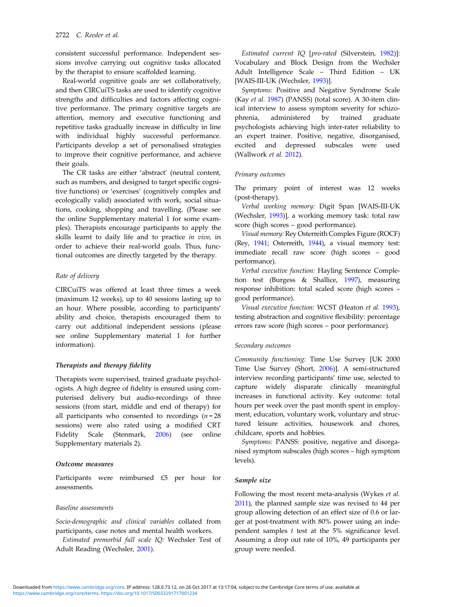consistent successful performance. Independent sessions involve carrying out cognitive tasks allocated by the therapist to ensure scaffolded learning.

Real-world cognitive goals are set collaboratively, and then CIRCuiTS tasks are used to identify cognitive strengths and difficulties and factors affecting cognitive performance. The primary cognitive targets are attention, memory and executive functioning and repetitive tasks gradually increase in difficulty in line with individual highly successful performance. Participants develop a set of personalised strategies to improve their cognitive performance, and achieve their goals.

The CR tasks are either 'abstract' (neutral content, such as numbers, and designed to target specific cognitive functions) or 'exercises' (cognitively complex and ecologically valid) associated with work, social situations, cooking, shopping and travelling. (Please see the online Supplementary material 1 for some examples). Therapists encourage participants to apply the skills learnt to daily life and to practice in vivo, in order to achieve their real-world goals. Thus, functional outcomes are directly targeted by the therapy.

## Rate of delivery

CIRCuiTS was offered at least three times a week (maximum 12 weeks), up to 40 sessions lasting up to an hour. Where possible, according to participants' ability and choice, therapists encouraged them to carry out additional independent sessions (please see online Supplementary material 1 for further information).

# Therapists and therapy fidelity

Therapists were supervised, trained graduate psychologists. A high degree of fidelity is ensured using computerised delivery but audio-recordings of three sessions (from start, middle and end of therapy) for all participants who consented to recordings  $(n = 28)$ sessions) were also rated using a modified CRT Fidelity Scale (Stenmark, [2006](#page-10-0)) (see online Supplementary materials 2).

#### Outcome measures

Participants were reimbursed £5 per hour for assessments.

#### Baseline assessments

Socio-demographic and clinical variables collated from participants, case notes and mental health workers.

Estimated premorbid full scale IQ: Wechsler Test of Adult Reading (Wechsler, [2001\)](#page-10-0).

Estimated current IQ [pro-rated (Silverstein, [1982\)](#page-9-0)]: Vocabulary and Block Design from the Wechsler Adult Intelligence Scale – Third Edition – UK [WAIS-III-UK (Wechsler, [1993](#page-10-0))].

Symptoms: Positive and Negative Syndrome Scale (Kay et al. [1987](#page-9-0)) (PANSS) (total score). A 30-item clinical interview to assess symptom severity for schizophrenia, administered by trained graduate psychologists achieving high inter-rater reliability to an expert trainer. Positive, negative, disorganised, excited and depressed subscales were used (Wallwork et al. [2012\)](#page-10-0).

#### Primary outcomes

The primary point of interest was 12 weeks (post-therapy).

Verbal working memory: Digit Span [WAIS-III-UK (Wechsler, [1993\)](#page-10-0)], a working memory task: total raw score (high scores – good performance).

Visual memory: Rey Osterreith Complex Figure (ROCF) (Rey, [1941](#page-9-0); Osterreith, [1944](#page-9-0)), a visual memory test: immediate recall raw score (high scores – good performance).

Verbal executive function: Hayling Sentence Completion test (Burgess & Shallice, [1997\)](#page-9-0), measuring response inhibition: total scaled score (high scores – good performance).

Visual executive function: WCST (Heaton et al. [1993](#page-9-0)), testing abstraction and cognitive flexibility: percentage errors raw score (high scores – poor performance).

#### Secondary outcomes

Community functioning: Time Use Survey [UK 2000 Time Use Survey (Short, [2006](#page-9-0))]. A semi-structured interview recording participants' time use, selected to capture widely disparate clinically meaningful increases in functional activity. Key outcome: total hours per week over the past month spent in employment, education, voluntary work, voluntary and structured leisure activities, housework and chores, childcare, sports and hobbies.

Symptoms: PANSS: positive, negative and disorganised symptom subscales (high scores – high symptom levels).

#### Sample size

Following the most recent meta-analysis (Wykes et al. [2011\)](#page-10-0), the planned sample size was revised to 44 per group allowing detection of an effect size of 0.6 or larger at post-treatment with 80% power using an independent samples  $t$  test at the  $5\%$  significance level. Assuming a drop out rate of 10%, 49 participants per group were needed.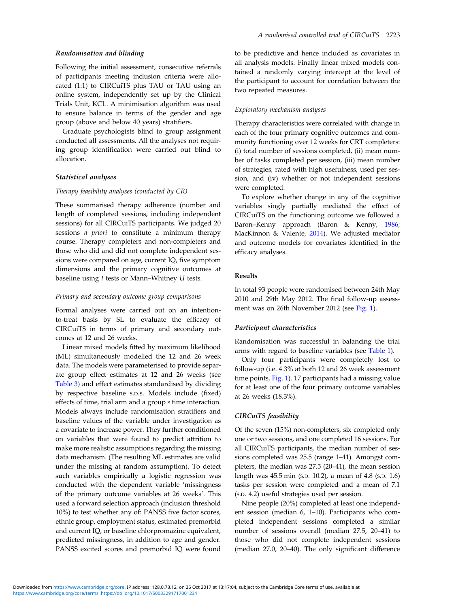#### Randomisation and blinding

Following the initial assessment, consecutive referrals of participants meeting inclusion criteria were allocated (1:1) to CIRCuiTS plus TAU or TAU using an online system, independently set up by the Clinical Trials Unit, KCL. A minimisation algorithm was used to ensure balance in terms of the gender and age group (above and below 40 years) stratifiers.

Graduate psychologists blind to group assignment conducted all assessments. All the analyses not requiring group identification were carried out blind to allocation.

#### Statistical analyses

#### Therapy feasibility analyses (conducted by CR)

These summarised therapy adherence (number and length of completed sessions, including independent sessions) for all CIRCuiTS participants. We judged 20 sessions a priori to constitute a minimum therapy course. Therapy completers and non-completers and those who did and did not complete independent sessions were compared on age, current IQ, five symptom dimensions and the primary cognitive outcomes at baseline using t tests or Mann–Whitney U tests.

#### Primary and secondary outcome group comparisons

Formal analyses were carried out on an intentionto-treat basis by SL to evaluate the efficacy of CIRCuiTS in terms of primary and secondary outcomes at 12 and 26 weeks.

Linear mixed models fitted by maximum likelihood (ML) simultaneously modelled the 12 and 26 week data. The models were parameterised to provide separate group effect estimates at 12 and 26 weeks (see [Table 3\)](#page-7-0) and effect estimates standardised by dividing by respective baseline S.D.s. Models include (fixed) effects of time, trial arm and a group × time interaction. Models always include randomisation stratifiers and baseline values of the variable under investigation as a covariate to increase power. They further conditioned on variables that were found to predict attrition to make more realistic assumptions regarding the missing data mechanism. (The resulting ML estimates are valid under the missing at random assumption). To detect such variables empirically a logistic regression was conducted with the dependent variable 'missingness of the primary outcome variables at 26 weeks'. This used a forward selection approach (inclusion threshold 10%) to test whether any of: PANSS five factor scores, ethnic group, employment status, estimated premorbid and current IQ, or baseline chlorpromazine equivalent, predicted missingness, in addition to age and gender. PANSS excited scores and premorbid IQ were found to be predictive and hence included as covariates in all analysis models. Finally linear mixed models contained a randomly varying intercept at the level of the participant to account for correlation between the two repeated measures.

#### Exploratory mechanism analyses

Therapy characteristics were correlated with change in each of the four primary cognitive outcomes and community functioning over 12 weeks for CRT completers: (i) total number of sessions completed, (ii) mean number of tasks completed per session, (iii) mean number of strategies, rated with high usefulness, used per session, and (iv) whether or not independent sessions were completed.

To explore whether change in any of the cognitive variables singly partially mediated the effect of CIRCuiTS on the functioning outcome we followed a Baron–Kenny approach (Baron & Kenny, [1986](#page-9-0); MacKinnon & Valente, [2014](#page-9-0)). We adjusted mediator and outcome models for covariates identified in the efficacy analyses.

#### Results

In total 93 people were randomised between 24th May 2010 and 29th May 2012. The final follow-up assessment was on 26th November 2012 (see [Fig. 1\)](#page-4-0).

#### Participant characteristics

Randomisation was successful in balancing the trial arms with regard to baseline variables (see [Table 1](#page-5-0)).

Only four participants were completely lost to follow-up (i.e. 4.3% at both 12 and 26 week assessment time points, [Fig. 1\)](#page-4-0). 17 participants had a missing value for at least one of the four primary outcome variables at 26 weeks (18.3%).

#### CIRCuiTS feasibility

Of the seven (15%) non-completers, six completed only one or two sessions, and one completed 16 sessions. For all CIRCuiTS participants, the median number of sessions completed was 25.5 (range 1–41). Amongst completers, the median was 27.5 (20–41), the mean session length was 45.5 min (S.D. 10.2), a mean of 4.8 (S.D. 1.6) tasks per session were completed and a mean of 7.1 (S.D. 4.2) useful strategies used per session.

Nine people (20%) completed at least one independent session (median 6, 1–10). Participants who completed independent sessions completed a similar number of sessions overall (median 27.5, 20–41) to those who did not complete independent sessions (median 27.0, 20–40). The only significant difference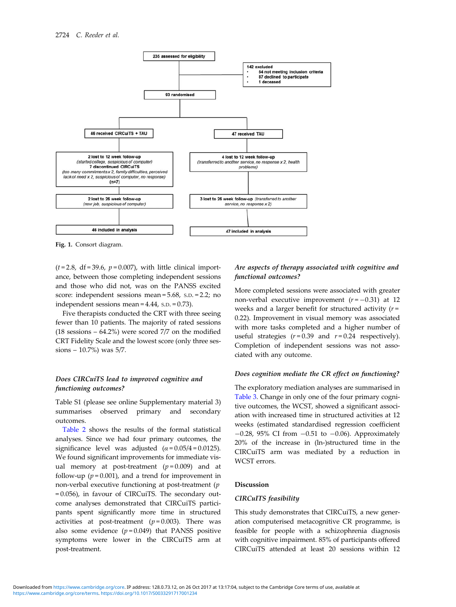<span id="page-4-0"></span>

Fig. 1. Consort diagram.

 $(t=2.8, df=39.6, p=0.007)$ , with little clinical importance, between those completing independent sessions and those who did not, was on the PANSS excited score: independent sessions mean = 5.68, S.D. = 2.2; no independent sessions mean = 4.44, S.D. = 0.73).

Five therapists conducted the CRT with three seeing fewer than 10 patients. The majority of rated sessions (18 sessions – 64.2%) were scored 7/7 on the modified CRT Fidelity Scale and the lowest score (only three sessions – 10.7%) was 5/7.

# Does CIRCuiTS lead to improved cognitive and functioning outcomes?

Table S1 (please see online Supplementary material 3) summarises observed primary and secondary outcomes.

[Table 2](#page-6-0) shows the results of the formal statistical analyses. Since we had four primary outcomes, the significance level was adjusted  $(\alpha = 0.05/4 = 0.0125)$ . We found significant improvements for immediate visual memory at post-treatment  $(p=0.009)$  and at follow-up ( $p = 0.001$ ), and a trend for improvement in non-verbal executive functioning at post-treatment (p = 0.056), in favour of CIRCuiTS. The secondary outcome analyses demonstrated that CIRCuiTS participants spent significantly more time in structured activities at post-treatment  $(p=0.003)$ . There was also some evidence  $(p=0.049)$  that PANSS positive symptoms were lower in the CIRCuiTS arm at post-treatment.

# Are aspects of therapy associated with cognitive and functional outcomes?

More completed sessions were associated with greater non-verbal executive improvement  $(r = -0.31)$  at 12 weeks and a larger benefit for structured activity  $(r =$ 0.22). Improvement in visual memory was associated with more tasks completed and a higher number of useful strategies  $(r = 0.39$  and  $r = 0.24$  respectively). Completion of independent sessions was not associated with any outcome.

#### Does cognition mediate the CR effect on functioning?

The exploratory mediation analyses are summarised in [Table 3](#page-7-0). Change in only one of the four primary cognitive outcomes, the WCST, showed a significant association with increased time in structured activities at 12 weeks (estimated standardised regression coefficient −0.28, 95% CI from −0.51 to −0.06). Approximately 20% of the increase in (ln-)structured time in the CIRCuiTS arm was mediated by a reduction in WCST errors.

#### Discussion

# CIRCuITS feasibility

This study demonstrates that CIRCuiTS, a new generation computerised metacognitive CR programme, is feasible for people with a schizophrenia diagnosis with cognitive impairment. 85% of participants offered CIRCuiTS attended at least 20 sessions within 12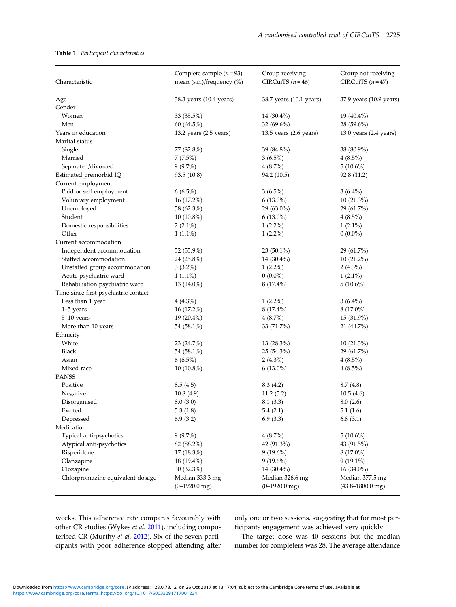## <span id="page-5-0"></span>Table 1. Participant characteristics

| Characteristic                       | Complete sample $(n=93)$<br>mean (S.D.)/frequency (%) | Group receiving<br>CIRCuiTS $(n=46)$ | Group not receiving<br>CIRCuiTS $(n=47)$ |
|--------------------------------------|-------------------------------------------------------|--------------------------------------|------------------------------------------|
| Age                                  | 38.3 years (10.4 years)                               | 38.7 years (10.1 years)              | 37.9 years (10.9 years)                  |
| Gender                               |                                                       |                                      |                                          |
| Women                                | 33 (35.5%)                                            | 14 (30.4%)                           | 19 (40.4%)                               |
| Men                                  | 60 (64.5%)                                            | 32 $(69.6\%)$                        | 28 (59.6%)                               |
| Years in education                   | 13.2 years $(2.5$ years)                              | 13.5 years (2.6 years)               | 13.0 years $(2.4 \text{ years})$         |
| Marital status                       |                                                       |                                      |                                          |
| Single                               | 77 (82.8%)                                            | 39 (84.8%)                           | 38 (80.9%)                               |
| Married                              | $7(7.5\%)$                                            | $3(6.5\%)$                           | $4(8.5\%)$                               |
| Separated/divorced                   | $9(9.7\%)$                                            | $4(8.7\%)$                           | $5(10.6\%)$                              |
| Estimated premorbid IQ               | 93.5 (10.8)                                           | 94.2 (10.5)                          | 92.8 (11.2)                              |
| Current employment                   |                                                       |                                      |                                          |
| Paid or self employment              | $6(6.5\%)$                                            | $3(6.5\%)$                           | $3(6.4\%)$                               |
| Voluntary employment                 | 16 (17.2%)                                            | $6(13.0\%)$                          | $10(21.3\%)$                             |
| Unemployed                           | 58 (62.3%)                                            | 29 (63.0%)                           | 29 (61.7%)                               |
| Student                              | $10(10.8\%)$                                          | $6(13.0\%)$                          | $4(8.5\%)$                               |
| Domestic responsibilities            | $2(2.1\%)$                                            | $1(2.2\%)$                           | $1(2.1\%)$                               |
| Other                                | $1(1.1\%)$                                            | $1(2.2\%)$                           | $0(0.0\%)$                               |
| Current accommodation                |                                                       |                                      |                                          |
| Independent accommodation            | 52 (55.9%)                                            | 23 (50.1%)                           | 29 (61.7%)                               |
| Staffed accommodation                | 24 (25.8%)                                            | 14 (30.4%)                           | $10(21.2\%)$                             |
| Unstaffed group accommodation        | $3(3.2\%)$                                            | $1(2.2\%)$                           | $2(4.3\%)$                               |
| Acute psychiatric ward               | $1(1.1\%)$                                            | $0(0.0\%)$                           | $1(2.1\%)$                               |
| Rehabiliation psychiatric ward       | 13 (14.0%)                                            | 8 (17.4%)                            | $5(10.6\%)$                              |
| Time since first psychiatric contact |                                                       |                                      |                                          |
| Less than 1 year                     | $4(4.3\%)$                                            | $1(2.2\%)$                           | $3(6.4\%)$                               |
| $1-5$ years                          | 16 (17.2%)                                            | 8 (17.4%)                            | $8(17.0\%)$                              |
| 5-10 years                           | $19(20.4\%)$                                          | 4(8.7%)                              | 15 (31.9%)                               |
| More than 10 years                   | 54 (58.1%)                                            | 33 (71.7%)                           | 21 (44.7%)                               |
| Ethnicity                            |                                                       |                                      |                                          |
| White                                | 23 (24.7%)                                            | 13 (28.3%)                           | $10(21.3\%)$                             |
| <b>Black</b>                         | 54 (58.1%)                                            | 25 (54.3%)                           | 29 (61.7%)                               |
| Asian                                | $6(6.5\%)$                                            | $2(4.3\%)$                           | $4(8.5\%)$                               |
| Mixed race                           | $10(10.8\%)$                                          | $6(13.0\%)$                          | $4(8.5\%)$                               |
| <b>PANSS</b>                         |                                                       |                                      |                                          |
| Positive                             | 8.5(4.5)                                              | 8.3 (4.2)                            | 8.7(4.8)                                 |
| Negative                             | 10.8(4.9)                                             | 11.2(5.2)                            | 10.5(4.6)                                |
| Disorganised                         | 8.0(3.0)                                              | 8.1(3.3)                             | 8.0(2.6)                                 |
| Excited                              | 5.3(1.8)                                              | 5.4(2.1)                             | 5.1(1.6)                                 |
| Depressed                            | 6.9(3.2)                                              | 6.9(3.3)                             | 6.8(3.1)                                 |
| Medication                           |                                                       |                                      |                                          |
| Typical anti-psychotics              | $9(9.7\%)$                                            | $4(8.7\%)$                           | $5(10.6\%)$                              |
| Atypical anti-psychotics             | 82 (88.2%)                                            | 42 (91.3%)                           | 43 (91.5%)                               |
| Risperidone                          | 17 (18.3%)                                            | $9(19.6\%)$                          | 8 (17.0%)                                |
| Olanzapine                           | 18 (19.4%)                                            | $9(19.6\%)$                          | $9(19.1\%)$                              |
| Clozapine                            | 30 (32.3%)                                            | 14 (30.4%)                           | 16 (34.0%)                               |
| Chlorpromazine equivalent dosage     | Median 333.3 mg<br>$(0-1920.0$ mg)                    | Median 326.6 mg<br>$(0-1920.0$ mg)   | Median 377.5 mg<br>$(43.8 - 1800.0$ mg)  |

weeks. This adherence rate compares favourably with other CR studies (Wykes et al. [2011\)](#page-10-0), including computerised CR (Murthy et al. [2012\)](#page-9-0). Six of the seven participants with poor adherence stopped attending after only one or two sessions, suggesting that for most participants engagement was achieved very quickly.

The target dose was 40 sessions but the median number for completers was 28. The average attendance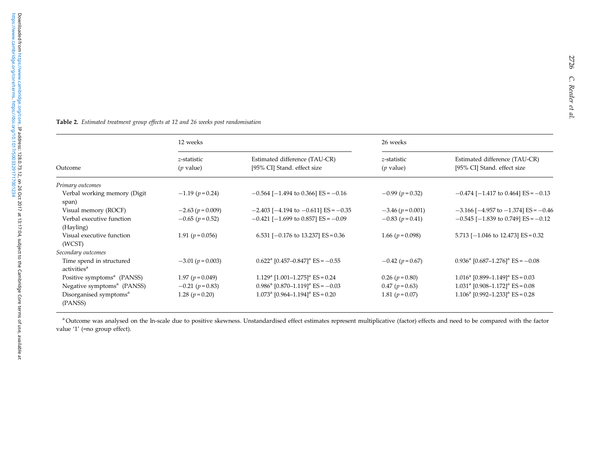#### <span id="page-6-0"></span>Table 2. Estimated treatment group effects at <sup>12</sup> and <sup>26</sup> weeks pos<sup>t</sup> randomisation

|                                                     | 12 weeks                   |                                                              | 26 weeks                   |                                                                       |
|-----------------------------------------------------|----------------------------|--------------------------------------------------------------|----------------------------|-----------------------------------------------------------------------|
| Outcome                                             | z-statistic<br>$(p$ value) | Estimated difference (TAU-CR)<br>[95% CI] Stand. effect size | z-statistic<br>$(p$ value) | Estimated difference (TAU-CR)<br>[95% CI] Stand. effect size          |
| Primary outcomes                                    |                            |                                                              |                            |                                                                       |
| Verbal working memory (Digit<br>span)               | $-1.19$ ( $p = 0.24$ )     | $-0.564$ [ $-1.494$ to 0.366] ES = $-0.16$                   | $-0.99$ ( $p = 0.32$ )     | $-0.474$ [ $-1.417$ to 0.464] ES = $-0.13$                            |
| Visual memory (ROCF)                                | $-2.63$ ( $p = 0.009$ )    | $-2.403$ [ $-4.194$ to $-0.611$ ] ES = $-0.35$               | $-3.46$ ( $p = 0.001$ )    | $-3.166$ [ $-4.957$ to $-1.374$ ] ES = $-0.46$                        |
| Verbal executive function<br>(Hayling)              | $-0.65$ ( $p = 0.52$ )     | $-0.421$ [ $-1.699$ to 0.857] ES = $-0.09$                   | $-0.83$ ( $p = 0.41$ )     | $-0.545$ [ $-1.839$ to 0.749] ES = $-0.12$                            |
| Visual executive function<br>(WCST)                 | 1.91 $(p=0.056)$           | 6.531 [ $-0.176$ to 13.237] ES = 0.36                        | 1.66 $(p = 0.098)$         | 5.713 $[-1.046 \text{ to } 12.473]$ ES = 0.32                         |
| Secondary outcomes                                  |                            |                                                              |                            |                                                                       |
| Time spend in structured<br>activities <sup>a</sup> | $-3.01 (p = 0.003)$        | $0.622^{\text{a}}$ [0.457-0.847] <sup>a</sup> ES = -0.55     | $-0.42$ ( $p = 0.67$ )     | $0.936^{\text{a}}$ [0.687-1.276] <sup>a</sup> ES = -0.08              |
| Positive symptoms <sup>a</sup> (PANSS)              | 1.97 $(p = 0.049)$         | $1.129^{\text{a}}$ [1.001-1.275] <sup>a</sup> ES = 0.24      | $0.26$ ( $p = 0.80$ )      | $1.016^a$ [0.899-1.149] <sup>a</sup> ES = 0.03                        |
| Negative symptoms <sup>a</sup> (PANSS)              | $-0.21$ ( $p = 0.83$ )     | $0.986^{\text{a}}$ [0.870-1.119] <sup>a</sup> ES = -0.03     | $0.47$ ( $p = 0.63$ )      | $1.031a$ [0.908-1.172] <sup>a</sup> ES = 0.08                         |
| Disorganised symptoms <sup>a</sup><br>(PANSS)       | 1.28 $(p=0.20)$            | $1.073^{\text{a}}$ [0.964-1.194] <sup>a</sup> ES = 0.20      | 1.81 $(p=0.07)$            | $1.106^{\circ}$ [0.992–1.233] <sup><math>\circ</math></sup> ES = 0.28 |

<sup>a</sup> Outcome was analysed on the ln-scale due to positive skewness. Unstandardised effect estimates represent multiplicative (factor) effects and need to be compared with the factor value '1' (=no group effect).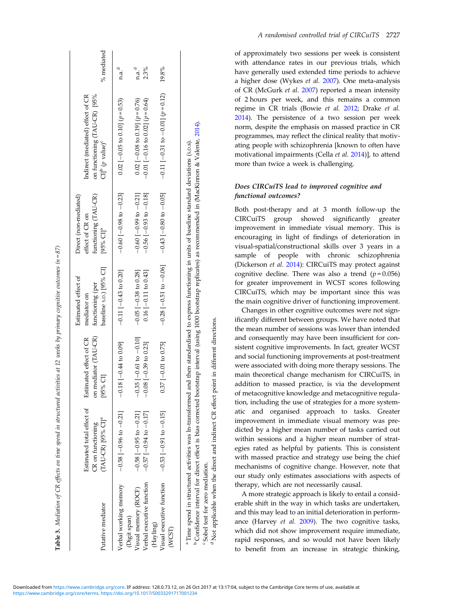<span id="page-7-0"></span>

| Putative mediator                                | Estimated total effect of<br>$(TAU-CR)$ [95% $CI$ ] <sup>a</sup><br>CR on functioning                                                                                                                                                          | mediator (TAU-CR)<br>Estimated effect of CR<br>$[95\%$ CI]<br>5 | baseline s.p.) [95% CI]<br>Estimated effect of<br>functioning (per<br>mediator on | functioning (TAU-CR)<br>Direct (non-mediated)<br>effect of CR on<br>[95% $CI$ ] <sup>a</sup>   | on functioning (TAU-CR) [95%<br>Indirect (mediated) effect of CR<br>$CIb$ ( <i>p</i> value) <sup>c</sup> | % mediated        |
|--------------------------------------------------|------------------------------------------------------------------------------------------------------------------------------------------------------------------------------------------------------------------------------------------------|-----------------------------------------------------------------|-----------------------------------------------------------------------------------|------------------------------------------------------------------------------------------------|----------------------------------------------------------------------------------------------------------|-------------------|
| Verbal working memory                            | $-0.58$ [ $-0.96$ to $-0.21$ ]                                                                                                                                                                                                                 | $-0.18$ $-0.44$ to 0.09]                                        | $-0.11$ $[-0.43$ to 0.20]                                                         | $-0.60$ [ $-0.98$ to $-0.23$ ]                                                                 | $0.02$ [-0.05 to 0.10] ( $p = 0.53$ )                                                                    | n.a. <sup>d</sup> |
| Visual memory (ROCF)<br>(Digit span)             | $-0.58$ $[-0.95$ to $-0.21]$                                                                                                                                                                                                                   | $0.35$ $[-0.61 \text{ to } -0.10]$<br>ĭ                         | $-0.05$ $[-0.38$ to 0.28]                                                         | $-0.60$ [ $-0.99$ to $-0.21$ ]                                                                 | $0.02$ [-0.08 to 0.19] ( $p = 0.76$ )                                                                    | n.a. <sup>d</sup> |
| Verbal executive function                        | $-0.57[-0.94 \text{ to } -0.17]$                                                                                                                                                                                                               | $-0.08$ $[-0.39$ to 0.23]                                       | $0.16[-0.11 to 0.43]$                                                             | $-0.56$ [ $-0.93$ to $-0.18$ ]                                                                 | $-0.01$ [ $-0.16$ to 0.02] ( $p = 0.64$ )                                                                | 2.3%              |
| Visual executive function<br>(Hayling)<br>(WCST) | $-0.53$ $[-0.91$ to $-0.15]$                                                                                                                                                                                                                   | $0.37$ [-0.01 to 0.75]                                          | $-0.28$ [ $-0.51$ to $-0.06$ ]                                                    | $-0.43$ [ $-0.80$ to $-0.05$ ]                                                                 | $-0.11[-0.31 \text{ to } -0.01]$ ( $p = 0.12$ )                                                          | 19.8%             |
| "Sobel test for zero mediation.                  | <sup>6</sup> Confidence interval for direct effect is bias corrected bootstrap interval (using 1000 bootstrap replicates) as recommended in (MacKimon & Valente, 2014).<br><sup>a</sup> Time spend in structured activities was ln-transformed |                                                                 |                                                                                   | and then standardised to express functioning in units of baseline standard deviations (s.p.s). |                                                                                                          |                   |

Table 3. Mediation of CR effects on time spend in structured actioities at 12 weeks by primary cognitive outcomes (n = 87)

Mediation of CR effects on time spend in structured activities at 12 weeks by primary cognitive outcomes (n = 87)

Confidence interval for direct effect is bias corrected bootstrap interval (using 1000 bootstrap replicates) as recommended in (MacKimon & Valente, 2014). Not applicable when the direct and indirect CR effect point in different directions. Not applicable when the direct and indirect CR effect point in different directions Sobel test for zero mediation.

of approximately two sessions per week is consistent with attendance rates in our previous trials, which have generally used extended time periods to achieve a higher dose (Wykes et al. [2007\)](#page-10-0). One meta-analysis of CR (McGurk et al. [2007](#page-9-0)) reported a mean intensity of 2 hours per week, and this remains a common regime in CR trials (Bowie et al. [2012](#page-9-0); Drake et al. [2014\)](#page-9-0). The persistence of a two session per week norm, despite the emphasis on massed practice in CR programmes, may reflect the clinical reality that motivating people with schizophrenia [known to often have motivational impairments (Cella et al. [2014](#page-9-0))], to attend more than twice a week is challenging.

# Does CIRCuiTS lead to improved cognitive and functional outcomes?

Both post-therapy and at 3 month follow-up the CIRCuiTS group showed significantly greater improvement in immediate visual memory. This is encouraging in light of findings of deterioration in visual-spatial/constructional skills over 3 years in a sample of people with chronic schizophrenia (Dickerson et al. [2014\)](#page-9-0): CIRCuiTS may protect against cognitive decline. There was also a trend ( $p = 0.056$ ) for greater improvement in WCST scores following CIRCuiTS, which may be important since this was the main cognitive driver of functioning improvement.

Changes in other cognitive outcomes were not significantly different between groups. We have noted that the mean number of sessions was lower than intended and consequently may have been insufficient for consistent cognitive improvements. In fact, greater WCST and social functioning improvements at post-treatment were associated with doing more therapy sessions. The main theoretical change mechanism for CIRCuiTS, in addition to massed practice, is via the development of metacognitive knowledge and metacognitive regulation, including the use of strategies for a more systematic and organised approach to tasks. Greater improvement in immediate visual memory was predicted by a higher mean number of tasks carried out within sessions and a higher mean number of strategies rated as helpful by patients. This is consistent with massed practice and strategy use being the chief mechanisms of cognitive change. However, note that our study only estimates associations with aspects of therapy, which are not necessarily causal.

A more strategic approach is likely to entail a considerable shift in the way in which tasks are undertaken, and this may lead to an initial deterioration in performance (Harvey et al. [2009](#page-9-0)). The two cognitive tasks, which did not show improvement require immediate, rapid responses, and so would not have been likely to benefit from an increase in strategic thinking,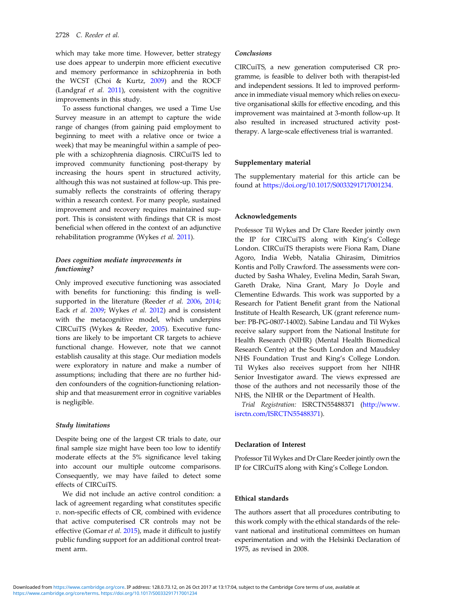which may take more time. However, better strategy use does appear to underpin more efficient executive and memory performance in schizophrenia in both the WCST (Choi & Kurtz, [2009\)](#page-9-0) and the ROCF (Landgraf et al. [2011\)](#page-9-0), consistent with the cognitive improvements in this study.

To assess functional changes, we used a Time Use Survey measure in an attempt to capture the wide range of changes (from gaining paid employment to beginning to meet with a relative once or twice a week) that may be meaningful within a sample of people with a schizophrenia diagnosis. CIRCuiTS led to improved community functioning post-therapy by increasing the hours spent in structured activity, although this was not sustained at follow-up. This presumably reflects the constraints of offering therapy within a research context. For many people, sustained improvement and recovery requires maintained support. This is consistent with findings that CR is most beneficial when offered in the context of an adjunctive rehabilitation programme (Wykes et al. [2011](#page-10-0)).

## Does cognition mediate improvements in functioning?

Only improved executive functioning was associated with benefits for functioning: this finding is well-supported in the literature (Reeder et al. [2006,](#page-9-0) [2014](#page-9-0); Eack et al. [2009;](#page-9-0) Wykes et al. [2012\)](#page-10-0) and is consistent with the metacognitive model, which underpins CIRCuiTS (Wykes & Reeder, [2005\)](#page-10-0). Executive functions are likely to be important CR targets to achieve functional change. However, note that we cannot establish causality at this stage. Our mediation models were exploratory in nature and make a number of assumptions; including that there are no further hidden confounders of the cognition-functioning relationship and that measurement error in cognitive variables is negligible.

### Study limitations

Despite being one of the largest CR trials to date, our final sample size might have been too low to identify moderate effects at the 5% significance level taking into account our multiple outcome comparisons. Consequently, we may have failed to detect some effects of CIRCuiTS.

We did not include an active control condition: a lack of agreement regarding what constitutes specific v. non-specific effects of CR, combined with evidence that active computerised CR controls may not be effective (Gomar et al. [2015\)](#page-9-0), made it difficult to justify public funding support for an additional control treatment arm.

# Conclusions

CIRCuiTS, a new generation computerised CR programme, is feasible to deliver both with therapist-led and independent sessions. It led to improved performance in immediate visual memory which relies on executive organisational skills for effective encoding, and this improvement was maintained at 3-month follow-up. It also resulted in increased structured activity posttherapy. A large-scale effectiveness trial is warranted.

## Supplementary material

The supplementary material for this article can be found at <https://doi.org/10.1017/S0033291717001234>.

#### Acknowledgements

Professor Til Wykes and Dr Clare Reeder jointly own the IP for CIRCuiTS along with King's College London. CIRCuiTS therapists were Fiona Ram, Diane Agoro, India Webb, Natalia Ghirasim, Dimitrios Kontis and Polly Crawford. The assessments were conducted by Sasha Whaley, Evelina Medin, Sarah Swan, Gareth Drake, Nina Grant, Mary Jo Doyle and Clementine Edwards. This work was supported by a Research for Patient Benefit grant from the National Institute of Health Research, UK (grant reference number: PB-PG-0807-14002). Sabine Landau and Til Wykes receive salary support from the National Institute for Health Research (NIHR) (Mental Health Biomedical Research Centre) at the South London and Maudsley NHS Foundation Trust and King's College London. Til Wykes also receives support from her NIHR Senior Investigator award. The views expressed are those of the authors and not necessarily those of the NHS, the NIHR or the Department of Health.

Trial Registration: ISRCTN55488371 ([http://www.](http://www.isrctn.com/ISRCTN55488371) [isrctn.com/ISRCTN55488371\)](http://www.isrctn.com/ISRCTN55488371).

#### Declaration of Interest

Professor Til Wykes and Dr Clare Reeder jointly own the IP for CIRCuiTS along with King's College London.

# Ethical standards

The authors assert that all procedures contributing to this work comply with the ethical standards of the relevant national and institutional committees on human experimentation and with the Helsinki Declaration of 1975, as revised in 2008.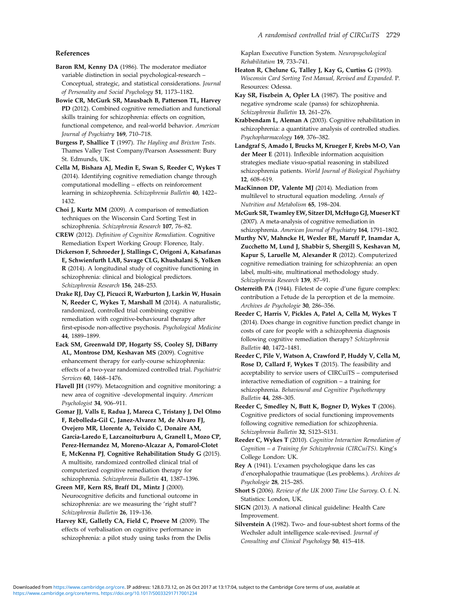# <span id="page-9-0"></span>References

Baron RM, Kenny DA (1986). The moderator mediator variable distinction in social psychological-research – Conceptual, strategic, and statistical considerations. Journal of Personality and Social Psychology 51, 1173–1182.

Bowie CR, McGurk SR, Mausbach B, Patterson TL, Harvey PD (2012). Combined cognitive remediation and functional skills training for schizophrenia: effects on cognition, functional competence, and real-world behavior. American Journal of Psychiatry 169, 710–718.

Burgess P, Shallice T (1997). The Hayling and Brixton Tests. Thames Valley Test Company/Pearson Assessment: Bury St. Edmunds, UK.

Cella M, Bishara AJ, Medin E, Swan S, Reeder C, Wykes T (2014). Identifying cognitive remediation change through computational modelling – effects on reinforcement learning in schizophrenia. Schizophrenia Bulletin 40, 1422– 1432.

Choi J, Kurtz MM (2009). A comparison of remediation techniques on the Wisconsin Card Sorting Test in schizophrenia. Schizophrenia Research 107, 76–82.

CREW (2012). Definition of Cognitive Remediation. Cognitive Remediation Expert Working Group: Florence, Italy.

Dickerson F, Schroeder J, Stallings C, Origoni A, Katsafanas E, Schwienfurth LAB, Savage CLG, Khushalani S, Yolken R (2014). A longitudinal study of cognitive functioning in schizophrenia: clinical and biological predictors. Schizophrenia Research 156, 248–253.

Drake RJ, Day CJ, Picucci R, Warburton J, Larkin W, Husain N, Reeder C, Wykes T, Marshall M (2014). A naturalistic, randomized, controlled trial combining cognitive remediation with cognitive-behavioural therapy after first-episode non-affective psychosis. Psychological Medicine 44, 1889–1899.

Eack SM, Greenwald DP, Hogarty SS, Cooley SJ, DiBarry AL, Montrose DM, Keshavan MS (2009). Cognitive enhancement therapy for early-course schizophrenia: effects of a two-year randomized controlled trial. Psychiatric Services 60, 1468–1476.

Flavell JH (1979). Metacognition and cognitive monitoring: a new area of cognitive -developmental inquiry. American Psychologist 34, 906–911.

Gomar JJ, Valls E, Radua J, Mareca C, Tristany J, Del Olmo F, Rebolleda-Gil C, Janez-Alvarez M, de Alvaro FJ, Ovejero MR, Llorente A, Teixido C, Donaire AM, Garcia-Laredo E, Lazcanoiturburu A, Granell L, Mozo CP, Perez-Hernandez M, Moreno-Alcazar A, Pomarol-Clotet E, McKenna PJ, Cognitive Rehabilitation Study G (2015). A multisite, randomized controlled clinical trial of computerized cognitive remediation therapy for schizophrenia. Schizophrenia Bulletin 41, 1387–1396.

Green MF, Kern RS, Braff DL, Mintz J (2000). Neurocognitive deficits and functional outcome in schizophrenia: are we measuring the 'right stuff'? Schizophrenia Bulletin 26, 119–136.

Harvey KE, Galletly CA, Field C, Proeve M (2009). The effects of verbalisation on cognitive performance in schizophrenia: a pilot study using tasks from the Delis Kaplan Executive Function System. Neuropsychological Rehabilitation 19, 733–741.

- Heaton R, Chelune G, Talley J, Kay G, Curtiss G (1993). Wisconsin Card Sorting Test Manual, Revised and Expanded. P. Resources: Odessa.
- Kay SR, Fiszbein A, Opler LA (1987). The positive and negative syndrome scale (panss) for schizophrenia. Schizophrenia Bulletin 13, 261–276.

Krabbendam L, Aleman A (2003). Cognitive rehabilitation in schizophrenia: a quantitative analysis of controlled studies. Psychopharmacology 169, 376–382.

Landgraf S, Amado I, Brucks M, Krueger F, Krebs M-O, Van der Meer E (2011). Inflexible information acquisition strategies mediate visuo-spatial reasoning in stabilized schizophrenia patients. World Journal of Biological Psychiatry 12, 608–619.

MacKinnon DP, Valente MJ (2014). Mediation from multilevel to structural equation modeling. Annals of Nutrition and Metabolism 65, 198–204.

McGurk SR, Twamley EW, Sitzer DI, McHugo GJ, Mueser KT (2007). A meta-analysis of cognitive remediation in schizophrenia. American Journal of Psychiatry 164, 1791–1802.

Murthy NV, Mahncke H, Wexler BE, Maruff P, Inamdar A, Zucchetto M, Lund J, Shabbir S, Shergill S, Keshavan M, Kapur S, Laruelle M, Alexander R (2012). Computerized cognitive remediation training for schizophrenia: an open label, multi-site, multinational methodology study. Schizophrenia Research 139, 87–91.

Osterreith PA (1944). Filetest de copie d'une figure complex: contribution a l'etude de la perception et de la memoire. Archives de Psychologie 30, 286–356.

Reeder C, Harris V, Pickles A, Patel A, Cella M, Wykes T (2014). Does change in cognitive function predict change in costs of care for people with a schizophrenia diagnosis following cognitive remediation therapy? Schizophrenia Bulletin 40, 1472–1481.

Reeder C, Pile V, Watson A, Crawford P, Huddy V, Cella M, Rose D, Callard F, Wykes T (2015). The feasibility and acceptability to service users of CIRCuiTS – computerised interactive remediation of cognition – a training for schizophrenia. Behavioural and Cognitive Psychotherapy Bulletin 44, 288–305.

Reeder C, Smedley N, Butt K, Bogner D, Wykes T (2006). Cognitive predictors of social functioning improvements following cognitive remediation for schizophrenia. Schizophrenia Bulletin 32, S123–S131.

Reeder C, Wykes T (2010). Cognitive Interaction Remediation of Cognition – a Training for Schizophrenia (CIRCuiTS). King's College London: UK.

Rey A (1941). L'examen psychologique dans les cas d'encephalopathie traumatique (Les problems.). Archives de Psychologie 28, 215–285.

Short S (2006). Review of the UK 2000 Time Use Survey. O. f. N. Statistics: London, UK.

SIGN (2013). A national clinical guideline: Health Care Improvement.

Silverstein A (1982). Two- and four-subtest short forms of the Wechsler adult intelligence scale-revised. Journal of Consulting and Clinical Psychology 50, 415–418.